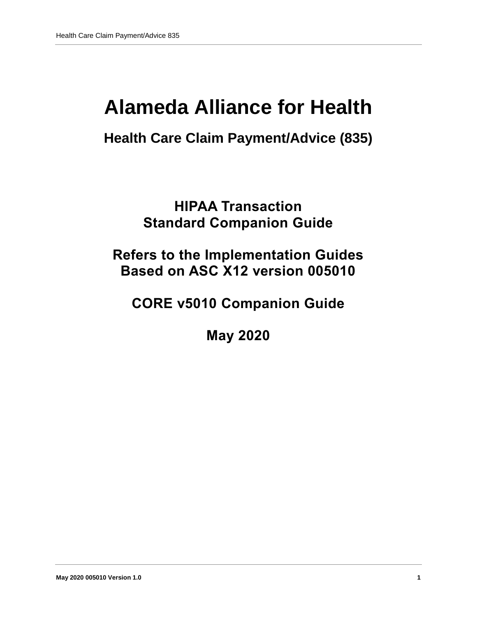# **Alameda Alliance for Health**

# **Health Care Claim Payment/Advice (835)**

**HIPAA Transaction Standard Companion Guide**

# **Refers to the Implementation Guides Based on ASC X12 version 005010**

**CORE v5010 Companion Guide**

**May 2020**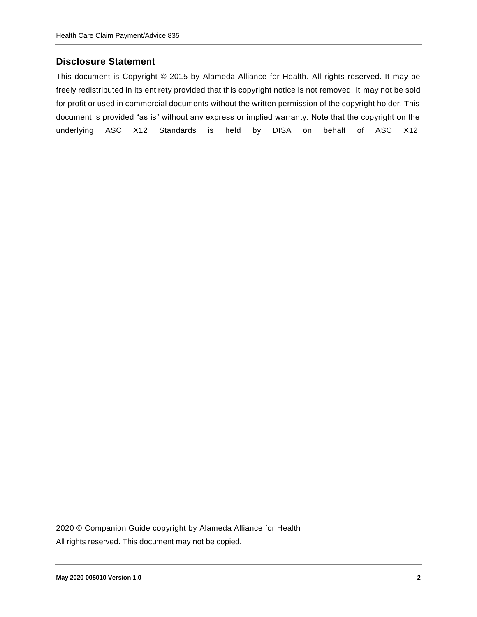### **Disclosure Statement**

This document is Copyright © 2015 by Alameda Alliance for Health. All rights reserved. It may be freely redistributed in its entirety provided that this copyright notice is not removed. It may not be sold for profit or used in commercial documents without the written permission of the copyright holder. This document is provided "as is" without any express or implied warranty. Note that the copyright on the underlying ASC X12 Standards is held by DISA on behalf of ASC X12.

2020 © Companion Guide copyright by Alameda Alliance for Health All rights reserved. This document may not be copied.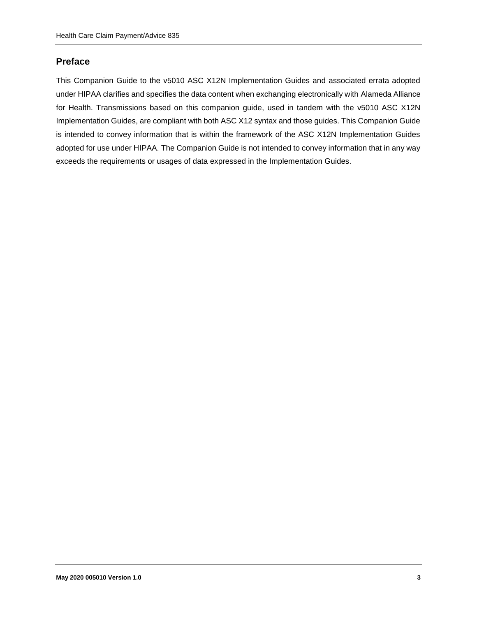#### **Preface**

This Companion Guide to the v5010 ASC X12N Implementation Guides and associated errata adopted under HIPAA clarifies and specifies the data content when exchanging electronically with Alameda Alliance for Health. Transmissions based on this companion guide, used in tandem with the v5010 ASC X12N Implementation Guides, are compliant with both ASC X12 syntax and those guides. This Companion Guide is intended to convey information that is within the framework of the ASC X12N Implementation Guides adopted for use under HIPAA. The Companion Guide is not intended to convey information that in any way exceeds the requirements or usages of data expressed in the Implementation Guides.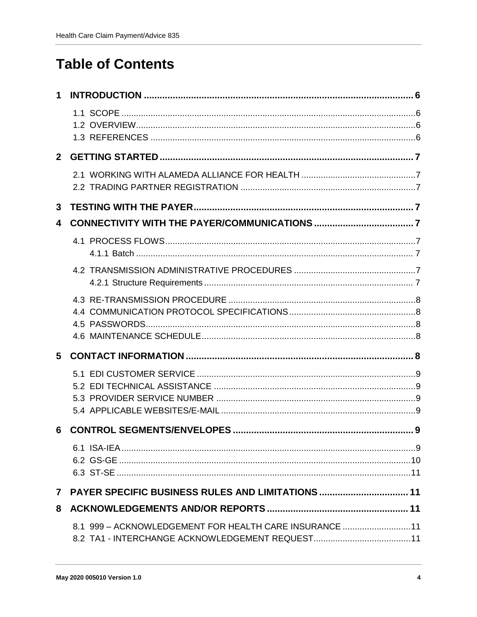# **Table of Contents**

| 8.1 999 - ACKNOWLEDGEMENT FOR HEALTH CARE INSURANCE 11 |                                                          |
|--------------------------------------------------------|----------------------------------------------------------|
|                                                        | <b>PAYER SPECIFIC BUSINESS RULES AND LIMITATIONS  11</b> |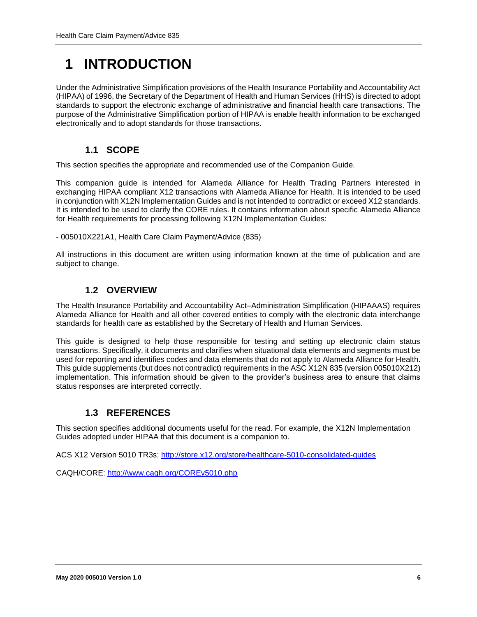# <span id="page-5-0"></span>**1 INTRODUCTION**

Under the Administrative Simplification provisions of the Health Insurance Portability and Accountability Act (HIPAA) of 1996, the Secretary of the Department of Health and Human Services (HHS) is directed to adopt standards to support the electronic exchange of administrative and financial health care transactions. The purpose of the Administrative Simplification portion of HIPAA is enable health information to be exchanged electronically and to adopt standards for those transactions.

### **1.1 SCOPE**

<span id="page-5-1"></span>This section specifies the appropriate and recommended use of the Companion Guide.

This companion guide is intended for Alameda Alliance for Health Trading Partners interested in exchanging HIPAA compliant X12 transactions with Alameda Alliance for Health. It is intended to be used in conjunction with X12N Implementation Guides and is not intended to contradict or exceed X12 standards. It is intended to be used to clarify the CORE rules. It contains information about specific Alameda Alliance for Health requirements for processing following X12N Implementation Guides:

- 005010X221A1, Health Care Claim Payment/Advice (835)

All instructions in this document are written using information known at the time of publication and are subject to change.

#### **1.2 OVERVIEW**

<span id="page-5-2"></span>The Health Insurance Portability and Accountability Act–Administration Simplification (HIPAAAS) requires Alameda Alliance for Health and all other covered entities to comply with the electronic data interchange standards for health care as established by the Secretary of Health and Human Services.

This guide is designed to help those responsible for testing and setting up electronic claim status transactions. Specifically, it documents and clarifies when situational data elements and segments must be used for reporting and identifies codes and data elements that do not apply to Alameda Alliance for Health. This guide supplements (but does not contradict) requirements in the ASC X12N 835 (version 005010X212) implementation. This information should be given to the provider's business area to ensure that claims status responses are interpreted correctly.

### **1.3 REFERENCES**

<span id="page-5-3"></span>This section specifies additional documents useful for the read. For example, the X12N Implementation Guides adopted under HIPAA that this document is a companion to.

ACS X12 Version 5010 TR3s:<http://store.x12.org/store/healthcare-5010-consolidated-guides>

CAQH/CORE:<http://www.caqh.org/COREv5010.php>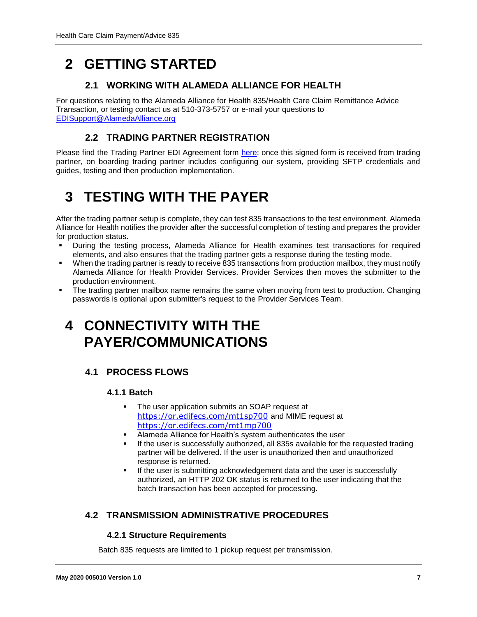# <span id="page-6-1"></span><span id="page-6-0"></span>**2 GETTING STARTED**

### **2.1 WORKING WITH ALAMEDA ALLIANCE FOR HEALTH**

For questions relating to the Alameda Alliance for Health 835/Health Care Claim Remittance Advice Transaction, or testing contact us at 510-373-5757 or e-mail your questions to EDISupport@AlamedaAlliance.org

### **2.2 TRADING PARTNER REGISTRATION**

<span id="page-6-3"></span><span id="page-6-2"></span>Please find the Trading Partner EDI Agreement form [here;](https://www.alamedaalliance.org/~/media/files/modules/publications/provider/edi%20enrollment_trading%20partner%20agreement.pdf) once this signed form is received from trading partner, on boarding trading partner includes configuring our system, providing SFTP credentials and guides, testing and then production implementation.

# **3 TESTING WITH THE PAYER**

After the trading partner setup is complete, they can test 835 transactions to the test environment. Alameda Alliance for Health notifies the provider after the successful completion of testing and prepares the provider for production status.

- During the testing process, Alameda Alliance for Health examines test transactions for required elements, and also ensures that the trading partner gets a response during the testing mode.
- When the trading partner is ready to receive 835 transactions from production mailbox, they must notify Alameda Alliance for Health Provider Services. Provider Services then moves the submitter to the production environment.
- The trading partner mailbox name remains the same when moving from test to production. Changing passwords is optional upon submitter's request to the Provider Services Team.

### <span id="page-6-4"></span>**4 CONNECTIVITY WITH THE PAYER/COMMUNICATIONS**

### <span id="page-6-6"></span><span id="page-6-5"></span>**4.1 PROCESS FLOWS**

#### **4.1.1 Batch**

- **The user application submits an SOAP request at** <https://or.edifecs.com/mt1sp700> and MIME request at <https://or.edifecs.com/mt1mp700>
- Alameda Alliance for Health's system authenticates the user
- If the user is successfully authorized, all 835s available for the requested trading partner will be delivered. If the user is unauthorized then and unauthorized response is returned.
- **If the user is submitting acknowledgement data and the user is successfully** authorized, an HTTP 202 OK status is returned to the user indicating that the batch transaction has been accepted for processing.

### <span id="page-6-8"></span><span id="page-6-7"></span>**4.2 TRANSMISSION ADMINISTRATIVE PROCEDURES**

#### **4.2.1 Structure Requirements**

Batch 835 requests are limited to 1 pickup request per transmission.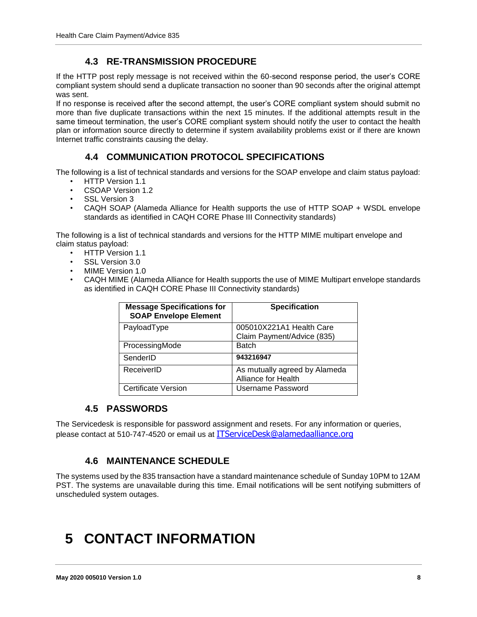### **4.3 RE-TRANSMISSION PROCEDURE**

<span id="page-7-0"></span>If the HTTP post reply message is not received within the 60-second response period, the user's CORE compliant system should send a duplicate transaction no sooner than 90 seconds after the original attempt was sent.

If no response is received after the second attempt, the user's CORE compliant system should submit no more than five duplicate transactions within the next 15 minutes. If the additional attempts result in the same timeout termination, the user's CORE compliant system should notify the user to contact the health plan or information source directly to determine if system availability problems exist or if there are known Internet traffic constraints causing the delay.

### **4.4 COMMUNICATION PROTOCOL SPECIFICATIONS**

<span id="page-7-1"></span>The following is a list of technical standards and versions for the SOAP envelope and claim status payload:

- HTTP Version 1.1
- CSOAP Version 1.2
- SSL Version 3
- CAQH SOAP (Alameda Alliance for Health supports the use of HTTP SOAP + WSDL envelope standards as identified in CAQH CORE Phase III Connectivity standards)

The following is a list of technical standards and versions for the HTTP MIME multipart envelope and claim status payload:

- HTTP Version 1.1
- SSL Version 3.0
- MIME Version 1.0
- CAQH MIME (Alameda Alliance for Health supports the use of MIME Multipart envelope standards as identified in CAQH CORE Phase III Connectivity standards)

| <b>Message Specifications for</b><br><b>SOAP Envelope Element</b> | <b>Specification</b>                                   |
|-------------------------------------------------------------------|--------------------------------------------------------|
| PayloadType                                                       | 005010X221A1 Health Care<br>Claim Payment/Advice (835) |
| ProcessingMode                                                    | <b>Batch</b>                                           |
| SenderID                                                          | 943216947                                              |
| ReceiverID                                                        | As mutually agreed by Alameda<br>Alliance for Health   |
| Certificate Version                                               | Username Password                                      |

#### **4.5 PASSWORDS**

<span id="page-7-2"></span>The Servicedesk is responsible for password assignment and resets. For any information or queries, please contact at 510-747-4520 or email us at [ITServiceDesk@alamedaalliance.org](mailto:ITServiceDesk@alamedaalliance.org)

### **4.6 MAINTENANCE SCHEDULE**

<span id="page-7-3"></span>The systems used by the 835 transaction have a standard maintenance schedule of Sunday 10PM to 12AM PST. The systems are unavailable during this time. Email notifications will be sent notifying submitters of unscheduled system outages.

# <span id="page-7-4"></span>**5 CONTACT INFORMATION**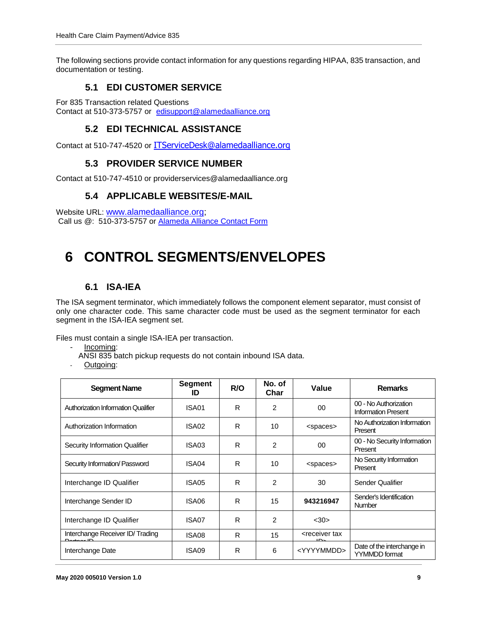<span id="page-8-0"></span>The following sections provide contact information for any questions regarding HIPAA, 835 transaction, and documentation or testing.

### **5.1 EDI CUSTOMER SERVICE**

<span id="page-8-1"></span>For 835 Transaction related Questions Contact at 510-373-5757 or [edisupport@alamedaalliance.org](mailto:ec@hpsm.org)

### **5.2 EDI TECHNICAL ASSISTANCE**

<span id="page-8-2"></span>Contact at 510-747-4520 or [ITServiceDesk@alamedaalliance.org](mailto:ITServiceDesk@alamedaalliance.org)

#### **5.3 PROVIDER SERVICE NUMBER**

<span id="page-8-3"></span>Contact at 510-747-4510 or providerservices@alamedaalliance.org

#### **5.4 APPLICABLE WEBSITES/E-MAIL**

Website URL: [www.alamedaalliance.org;](http://www.alamedaalliance.org/) Call us @: 510-373-5757 or [Alameda Alliance Contact Form](https://www.alamedaalliance.org/contact-us)

## <span id="page-8-4"></span>**6 CONTROL SEGMENTS/ENVELOPES**

### **6.1 ISA-IEA**

<span id="page-8-5"></span>The ISA segment terminator, which immediately follows the component element separator, must consist of only one character code. This same character code must be used as the segment terminator for each segment in the ISA-IEA segment set.

Files must contain a single ISA-IEA per transaction.

- Incoming:
- ANSI 835 batch pickup requests do not contain inbound ISA data.
- Outgoing:

| <b>Segment Name</b>                        | <b>Segment</b><br>ID | R/O | No. of<br>Char | Value                                        | <b>Remarks</b>                                      |
|--------------------------------------------|----------------------|-----|----------------|----------------------------------------------|-----------------------------------------------------|
| <b>Authorization Information Qualifier</b> | ISA01                | R   | $\overline{c}$ | 00                                           | 00 - No Authorization<br><b>Information Present</b> |
| Authorization Information                  | ISA02                | R   | 10             | <spaces></spaces>                            | No Authorization Information<br>Present             |
| Security Information Qualifier             | ISA03                | R   | 2              | 00                                           | 00 - No Security Information<br>Present             |
| Security Information/ Password             | ISA04                | R   | 10             | <spaces></spaces>                            | No Security Information<br>Present                  |
| Interchange ID Qualifier                   | ISA05                | R   | 2              | 30                                           | Sender Qualifier                                    |
| Interchange Sender ID                      | ISA06                | R   | 15             | 943216947                                    | Sender's Identification<br><b>Number</b>            |
| Interchange ID Qualifier                   | ISA07                | R   | 2              | <30>                                         |                                                     |
| Interchange Receiver ID/Trading            | ISA08                | R   | 15             | <receiver tax<="" td=""><td></td></receiver> |                                                     |
| Interchange Date                           | ISA09                | R   | 6              | <yyyymmdd></yyyymmdd>                        | Date of the interchange in<br><b>YYMMDD</b> format  |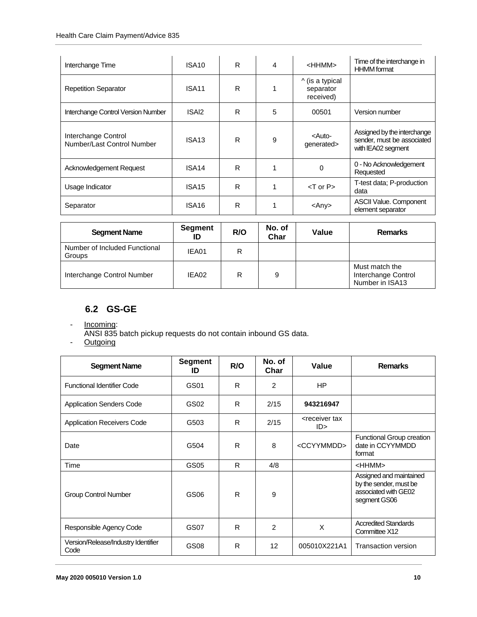| Interchange Time                                  | ISA <sub>10</sub> | R | 4 | <hhmm></hhmm>                             | Time of the interchange in<br><b>HHMM</b> format                                |
|---------------------------------------------------|-------------------|---|---|-------------------------------------------|---------------------------------------------------------------------------------|
| <b>Repetition Separator</b>                       | ISA11             | R |   | ^ (is a typical<br>separator<br>received) |                                                                                 |
| Interchange Control Version Number                | ISAI2             | R | 5 | 00501                                     | Version number                                                                  |
| Interchange Control<br>Number/Last Control Number | ISA <sub>13</sub> | R | 9 | <auto-<br>generated&gt;</auto-<br>        | Assigned by the interchange<br>sender, must be associated<br>with IEA02 segment |
| Acknowledgement Request                           | ISA <sub>14</sub> | R |   | 0                                         | 0 - No Acknowledgement<br>Requested                                             |
| Usage Indicator                                   | ISA <sub>15</sub> | R |   | $<$ T or P $>$                            | T-test data; P-production<br>data                                               |
| Separator                                         | ISA <sub>16</sub> | R |   | <any></any>                               | <b>ASCII Value. Component</b><br>element separator                              |

| <b>Segment Name</b>                     | Segment<br>ID | R/O | No. of<br>Char | Value | <b>Remarks</b>                                           |
|-----------------------------------------|---------------|-----|----------------|-------|----------------------------------------------------------|
| Number of Included Functional<br>Groups | IEA01         | R   |                |       |                                                          |
| Interchange Control Number              | IEA02         | R   | 9              |       | Must match the<br>Interchange Control<br>Number in ISA13 |

### **6.2 GS-GE**

- <span id="page-9-0"></span>- Incoming:
- ANSI 835 batch pickup requests do not contain inbound GS data.
- **Outgoing**

| <b>Segment Name</b>                         | <b>Segment</b><br>ID | R/O | No. of<br>Char | Value                             | <b>Remarks</b>                                                                            |
|---------------------------------------------|----------------------|-----|----------------|-----------------------------------|-------------------------------------------------------------------------------------------|
| <b>Functional Identifier Code</b>           | GS01                 | R   | 2              | <b>HP</b>                         |                                                                                           |
| <b>Application Senders Code</b>             | GS02                 | R   | 2/15           | 943216947                         |                                                                                           |
| <b>Application Receivers Code</b>           | G503                 | R   | 2/15           | <receiver tax<br="">ID</receiver> |                                                                                           |
| Date                                        | G504                 | R   | 8              | <ccyymmdd></ccyymmdd>             | Functional Group creation<br>date in CCYYMMDD<br>format                                   |
| Time                                        | GS05                 | R   | 4/8            |                                   | $<$ HHMM $>$                                                                              |
| <b>Group Control Number</b>                 | GS06                 | R   | 9              |                                   | Assigned and maintained<br>by the sender, must be<br>associated with GE02<br>segment GS06 |
| Responsible Agency Code                     | <b>GS07</b>          | R   | $\overline{2}$ | X                                 | <b>Accredited Standards</b><br>Committee X12                                              |
| Version/Release/Industry Identifier<br>Code | GS <sub>08</sub>     | R   | 12             | 005010X221A1                      | Transaction version                                                                       |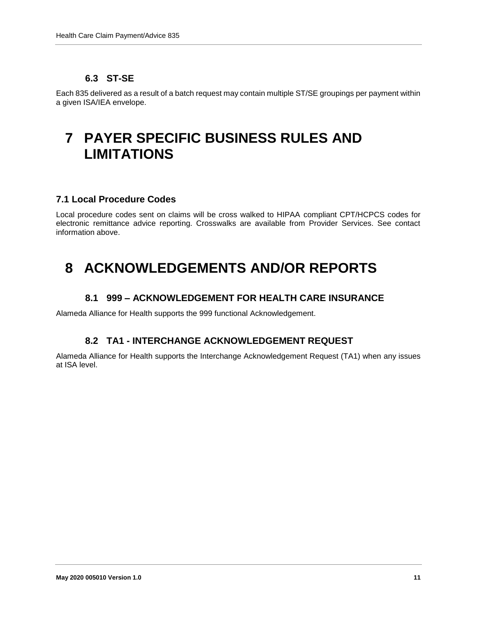### **6.3 ST-SE**

<span id="page-10-0"></span>Each 835 delivered as a result of a batch request may contain multiple ST/SE groupings per payment within a given ISA/IEA envelope.

## <span id="page-10-1"></span>**7 PAYER SPECIFIC BUSINESS RULES AND LIMITATIONS**

#### **7.1 Local Procedure Codes**

Local procedure codes sent on claims will be cross walked to HIPAA compliant CPT/HCPCS codes for electronic remittance advice reporting. Crosswalks are available from Provider Services. See contact information above.

## <span id="page-10-2"></span>**8 ACKNOWLEDGEMENTS AND/OR REPORTS**

#### **8.1 999 – ACKNOWLEDGEMENT FOR HEALTH CARE INSURANCE**

<span id="page-10-4"></span><span id="page-10-3"></span>Alameda Alliance for Health supports the 999 functional Acknowledgement.

#### **8.2 TA1 - INTERCHANGE ACKNOWLEDGEMENT REQUEST**

Alameda Alliance for Health supports the Interchange Acknowledgement Request (TA1) when any issues at ISA level.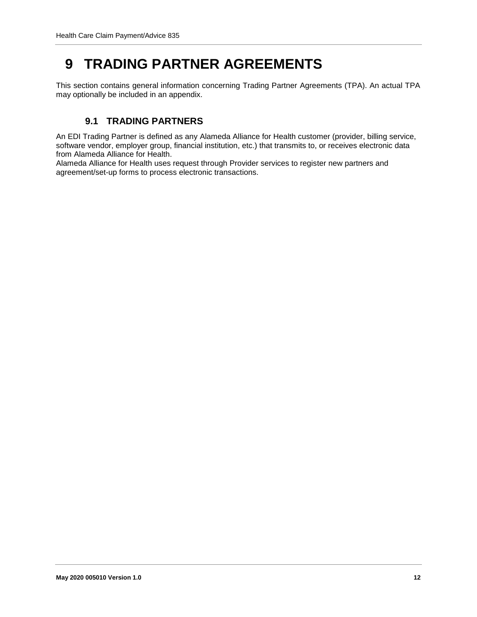# <span id="page-11-0"></span>**9 TRADING PARTNER AGREEMENTS**

This section contains general information concerning Trading Partner Agreements (TPA). An actual TPA may optionally be included in an appendix.

### **9.1 TRADING PARTNERS**

<span id="page-11-1"></span>An EDI Trading Partner is defined as any Alameda Alliance for Health customer (provider, billing service, software vendor, employer group, financial institution, etc.) that transmits to, or receives electronic data from Alameda Alliance for Health.

Alameda Alliance for Health uses request through Provider services to register new partners and agreement/set-up forms to process electronic transactions.